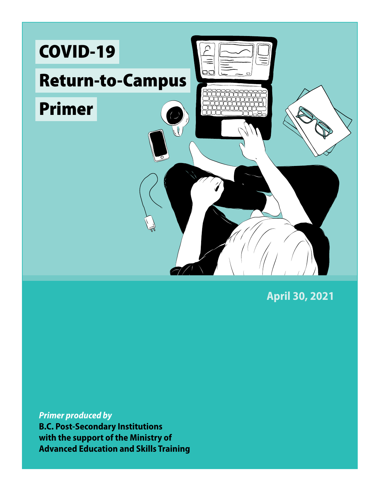

**April 30, 2021**

*Primer produced by* 

**B.C. Post-Secondary Institutions with the support of the Ministry of Advanced Education and Skills Training**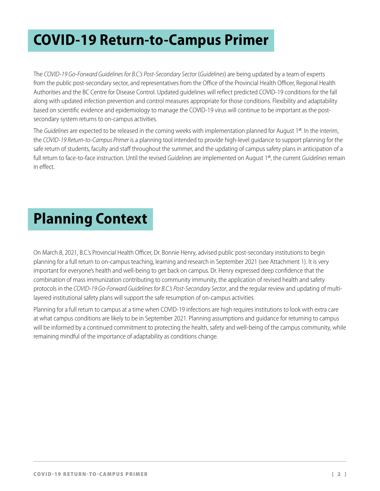# **COVID-19 Return-to-Campus Primer**

The *COVID-19 Go-Forward Guidelines for B.C.'s Post-Secondary Sector* (*Guidelines*) are being updated by a team of experts from the public post-secondary sector, and representatives from the Office of the Provincial Health Officer, Regional Health Authorities and the BC Centre for Disease Control. Updated guidelines will reflect predicted COVID-19 conditions for the fall along with updated infection prevention and control measures appropriate for those conditions. Flexibility and adaptability based on scientific evidence and epidemiology to manage the COVID-19 virus will continue to be important as the postsecondary system returns to on-campus activities.

The *Guidelines* are expected to be released in the coming weeks with implementation planned for August 1<sup>st</sup>. In the interim, the *COVID-19 Return-to-Campus Primer* is a planning tool intended to provide high-level guidance to support planning for the safe return of students, faculty and staff throughout the summer, and the updating of campus safety plans in anticipation of a full return to face-to-face instruction. Until the revised *Guidelines* are implemented on August 1st, the current *Guidelines* remain in effect.

# **Planning Context**

On March 8, 2021, B.C.'s Provincial Health Officer, Dr. Bonnie Henry, advised public post-secondary institutions to begin planning for a full return to on-campus teaching, learning and research in September 2021 (see Attachment 1). It is very important for everyone's health and well-being to get back on campus. Dr. Henry expressed deep confidence that the combination of mass immunization contributing to community immunity, the application of revised health and safety protocols in the *COVID-19 Go-Forward Guidelines for B.C.'s Post-Secondary Sector*, and the regular review and updating of multilayered institutional safety plans will support the safe resumption of on-campus activities.

Planning for a full return to campus at a time when COVID-19 infections are high requires institutions to look with extra care at what campus conditions are likely to be in September 2021. Planning assumptions and guidance for returning to campus will be informed by a continued commitment to protecting the health, safety and well-being of the campus community, while remaining mindful of the importance of adaptability as conditions change.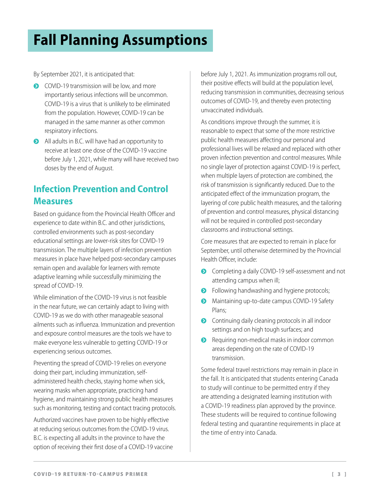# **Fall Planning Assumptions**

By September 2021, it is anticipated that:

- COVID-19 transmission will be low, and more importantly serious infections will be uncommon. COVID-19 is a virus that is unlikely to be eliminated from the population. However, COVID-19 can be managed in the same manner as other common respiratory infections.
- I All adults in B.C. will have had an opportunity to receive at least one dose of the COVID-19 vaccine before July 1, 2021, while many will have received two doses by the end of August.

#### **Infection Prevention and Control Measures**

Based on guidance from the Provincial Health Officer and experience to date within B.C. and other jurisdictions, controlled environments such as post-secondary educational settings are lower-risk sites for COVID-19 transmission. The multiple layers of infection prevention measures in place have helped post-secondary campuses remain open and available for learners with remote adaptive learning while successfully minimizing the spread of COVID-19.

While elimination of the COVID-19 virus is not feasible in the near future, we can certainly adapt to living with COVID-19 as we do with other manageable seasonal ailments such as influenza. Immunization and prevention and exposure control measures are the tools we have to make everyone less vulnerable to getting COVID-19 or experiencing serious outcomes.

Preventing the spread of COVID-19 relies on everyone doing their part, including immunization, selfadministered health checks, staying home when sick, wearing masks when appropriate, practicing hand hygiene, and maintaining strong public health measures such as monitoring, testing and contact tracing protocols.

Authorized vaccines have proven to be highly effective at reducing serious outcomes from the COVID-19 virus. B.C. is expecting all adults in the province to have the option of receiving their first dose of a COVID-19 vaccine

before July 1, 2021. As immunization programs roll out, their positive effects will build at the population level, reducing transmission in communities, decreasing serious outcomes of COVID-19, and thereby even protecting unvaccinated individuals.

As conditions improve through the summer, it is reasonable to expect that some of the more restrictive public health measures affecting our personal and professional lives will be relaxed and replaced with other proven infection prevention and control measures. While no single layer of protection against COVID-19 is perfect, when multiple layers of protection are combined, the risk of transmission is significantly reduced. Due to the anticipated effect of the immunization program, the layering of core public health measures, and the tailoring of prevention and control measures, physical distancing will not be required in controlled post-secondary classrooms and instructional settings.

Core measures that are expected to remain in place for September, until otherwise determined by the Provincial Health Officer, include:

- **•** Completing a daily COVID-19 self-assessment and not attending campus when ill;
- Following handwashing and hygiene protocols;
- Maintaining up-to-date campus COVID-19 Safety Plans;
- **•** Continuing daily cleaning protocols in all indoor settings and on high tough surfaces; and
- ◆ Requiring non-medical masks in indoor common areas depending on the rate of COVID-19 transmission.

Some federal travel restrictions may remain in place in the fall. It is anticipated that students entering Canada to study will continue to be permitted entry if they are attending a designated learning institution with a COVID-19 readiness plan approved by the province. These students will be required to continue following federal testing and quarantine requirements in place at the time of entry into Canada.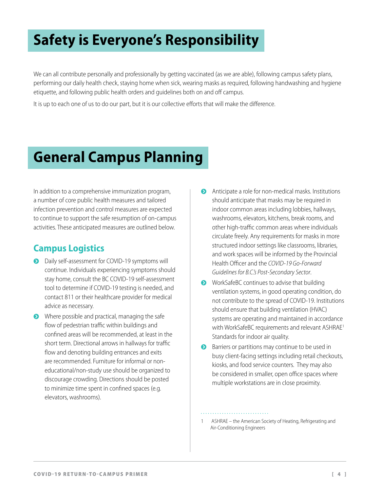# **Safety is Everyone's Responsibility**

We can all contribute personally and professionally by getting vaccinated (as we are able), following campus safety plans, performing our daily health check, staying home when sick, wearing masks as required, following handwashing and hygiene etiquette, and following public health orders and guidelines both on and off campus.

It is up to each one of us to do our part, but it is our collective efforts that will make the difference.

## **General Campus Planning**

In addition to a comprehensive immunization program, a number of core public health measures and tailored infection prevention and control measures are expected to continue to support the safe resumption of on-campus activities. These anticipated measures are outlined below.

### **Campus Logistics**

- **•** Daily self-assessment for COVID-19 symptoms will continue. Individuals experiencing symptoms should stay home, consult the BC COVID-19 self-assessment tool to determine if COVID-19 testing is needed, and contact 811 or their healthcare provider for medical advice as necessary.
- $\bullet$  Where possible and practical, managing the safe flow of pedestrian traffic within buildings and confined areas will be recommended, at least in the short term. Directional arrows in hallways for traffic flow and denoting building entrances and exits are recommended. Furniture for informal or noneducational/non-study use should be organized to discourage crowding. Directions should be posted to minimize time spent in confined spaces (e.g. elevators, washrooms).
- **•** Anticipate a role for non-medical masks. Institutions should anticipate that masks may be required in indoor common areas including lobbies, hallways, washrooms, elevators, kitchens, break rooms, and other high-traffic common areas where individuals circulate freely. Any requirements for masks in more structured indoor settings like classrooms, libraries, and work spaces will be informed by the Provincial Health Officer and the *COVID-19 Go-Forward Guidelines for B.C.'s Post-Secondary Sector*.
- WorkSafeBC continues to advise that building ventilation systems, in good operating condition, do not contribute to the spread of COVID-19. Institutions should ensure that building ventilation (HVAC) systems are operating and maintained in accordance with WorkSafeBC requirements and relevant ASHRAE<sup>1</sup> Standards for indoor air quality.
- $\bullet$  Barriers or partitions may continue to be used in busy client-facing settings including retail checkouts, kiosks, and food service counters. They may also be considered in smaller, open office spaces where multiple workstations are in close proximity.

<sup>1</sup> ASHRAE – the American Society of Heating, Refrigerating and Air-Conditioning Engineers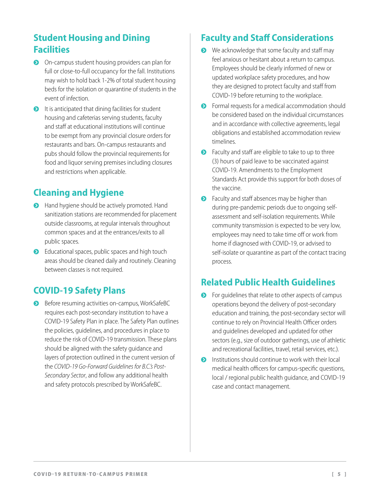### **Student Housing and Dining Facilities**

- On-campus student housing providers can plan for full or close-to-full occupancy for the fall. Institutions may wish to hold back 1-2% of total student housing beds for the isolation or quarantine of students in the event of infection.
- $\bullet$  It is anticipated that dining facilities for student housing and cafeterias serving students, faculty and staff at educational institutions will continue to be exempt from any provincial closure orders for restaurants and bars. On-campus restaurants and pubs should follow the provincial requirements for food and liquor serving premises including closures and restrictions when applicable.

### **Cleaning and Hygiene**

- **•** Hand hygiene should be actively promoted. Hand sanitization stations are recommended for placement outside classrooms, at regular intervals throughout common spaces and at the entrances/exits to all public spaces.
- **•** Educational spaces, public spaces and high touch areas should be cleaned daily and routinely. Cleaning between classes is not required.

### **COVID-19 Safety Plans**

**•** Before resuming activities on-campus, WorkSafeBC requires each post-secondary institution to have a COVID-19 Safety Plan in place. The Safety Plan outlines the policies, guidelines, and procedures in place to reduce the risk of COVID-19 transmission. These plans should be aligned with the safety guidance and layers of protection outlined in the current version of the *COVID-19 Go-Forward Guidelines for B.C.'s Post-Secondary Sector*, and follow any additional health and safety protocols prescribed by WorkSafeBC.

#### **Faculty and Staff Considerations**

- $\bullet$  We acknowledge that some faculty and staff may feel anxious or hesitant about a return to campus. Employees should be clearly informed of new or updated workplace safety procedures, and how they are designed to protect faculty and staff from COVID-19 before returning to the workplace.
- **•** Formal requests for a medical accommodation should be considered based on the individual circumstances and in accordance with collective agreements, legal obligations and established accommodation review timelines.
- $\bullet$  Faculty and staff are eligible to take to up to three (3) hours of paid leave to be vaccinated against COVID-19. Amendments to the Employment Standards Act provide this support for both doses of the vaccine.
- $\bullet$  Faculty and staff absences may be higher than during pre-pandemic periods due to ongoing selfassessment and self-isolation requirements. While community transmission is expected to be very low, employees may need to take time off or work from home if diagnosed with COVID-19, or advised to self-isolate or quarantine as part of the contact tracing process.

#### **Related Public Health Guidelines**

- $\bullet$  For guidelines that relate to other aspects of campus operations beyond the delivery of post-secondary education and training, the post-secondary sector will continue to rely on Provincial Health Officer orders and guidelines developed and updated for other sectors (e.g., size of outdoor gatherings, use of athletic and recreational facilities, travel, retail services, etc.).
- $\bullet$  Institutions should continue to work with their local medical health officers for campus-specific questions, local / regional public health guidance, and COVID-19 case and contact management.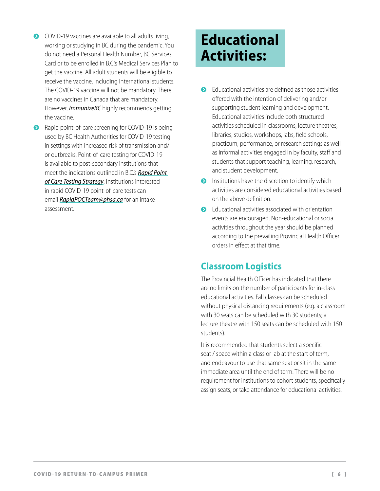- $\bullet$  COVID-19 vaccines are available to all adults living, working or studying in BC during the pandemic. You do not need a Personal Health Number, BC Services Card or to be enrolled in B.C.'s Medical Services Plan to get the vaccine. All adult students will be eligible to receive the vaccine, including International students. The COVID-19 vaccine will not be mandatory. There are no vaccines in Canada that are mandatory. However, *[ImmunizeBC](https://immunizebc.ca/ask-us/questions/will-covid-19-vaccine-be-mandatory#:~:text=Answer%3A,in%20Canada%20that%20are%20mandatory.)* highly recommends getting the vaccine.
- Rapid point-of-care screening for COVID-19 is being used by BC Health Authorities for COVID-19 testing in settings with increased risk of transmission and/ or outbreaks. Point-of-care testing for COVID-19 is available to post-secondary institutions that meet the indications outlined in B.C.'s *[Rapid Point](http://www.bccdc.ca/health-info/diseases-conditions/covid-19/testing/rapid-covid-19-point-of-care-screening-program)  [of Care Testing Strategy](http://www.bccdc.ca/health-info/diseases-conditions/covid-19/testing/rapid-covid-19-point-of-care-screening-program)*. Institutions interested in rapid COVID-19 point-of-care tests can email *[RapidPOCTeam@phsa.ca](mailto:RapidPOCTeam@phsa.ca)* for an intake assessment.

## **Educational Activities:**

- $\bullet$  Educational activities are defined as those activities offered with the intention of delivering and/or supporting student learning and development. Educational activities include both structured activities scheduled in classrooms, lecture theatres, libraries, studios, workshops, labs, field schools, practicum, performance, or research settings as well as informal activities engaged in by faculty, staff and students that support teaching, learning, research, and student development.
- $\bullet$  Institutions have the discretion to identify which activities are considered educational activities based on the above definition.
- $\bullet$  Educational activities associated with orientation events are encouraged. Non-educational or social activities throughout the year should be planned according to the prevailing Provincial Health Officer orders in effect at that time.

#### **Classroom Logistics**

The Provincial Health Officer has indicated that there are no limits on the number of participants for in-class educational activities. Fall classes can be scheduled without physical distancing requirements (e.g. a classroom with 30 seats can be scheduled with 30 students; a lecture theatre with 150 seats can be scheduled with 150 students).

It is recommended that students select a specific seat / space within a class or lab at the start of term, and endeavour to use that same seat or sit in the same immediate area until the end of term. There will be no requirement for institutions to cohort students, specifically assign seats, or take attendance for educational activities.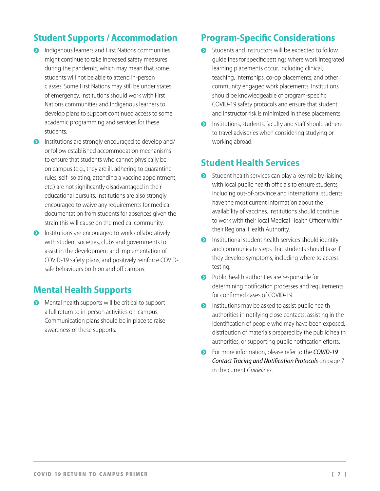#### **Student Supports / Accommodation**

- **•** Indigenous learners and First Nations communities might continue to take increased safety measures during the pandemic, which may mean that some students will not be able to attend in-person classes. Some First Nations may still be under states of emergency. Institutions should work with First Nations communities and Indigenous learners to develop plans to support continued access to some academic programming and services for these students.
- **•** Institutions are strongly encouraged to develop and/ or follow established accommodation mechanisms to ensure that students who cannot physically be on campus (e.g., they are ill, adhering to quarantine rules, self-isolating, attending a vaccine appointment, etc.) are not significantly disadvantaged in their educational pursuits. Institutions are also strongly encouraged to waive any requirements for medical documentation from students for absences given the strain this will cause on the medical community.
- $\bullet$  Institutions are encouraged to work collaboratively with student societies, clubs and governments to assist in the development and implementation of COVID-19 safety plans, and positively reinforce COVIDsafe behaviours both on and off campus.

#### **Mental Health Supports**

**•** Mental health supports will be critical to support a full return to in-person activities on-campus. Communication plans should be in place to raise awareness of these supports.

#### **Program-Specific Considerations**

- **•** Students and instructors will be expected to follow guidelines for specific settings where work integrated learning placements occur, including clinical, teaching, internships, co-op placements, and other community engaged work placements. Institutions should be knowledgeable of program-specific COVID-19 safety protocols and ensure that student and instructor risk is minimized in these placements.
- $\bullet$  Institutions, students, faculty and staff should adhere to travel advisories when considering studying or working abroad.

#### **Student Health Services**

- $\bullet$  Student health services can play a key role by liaising with local public health officials to ensure students, including out-of-province and international students, have the most current information about the availability of vaccines. Institutions should continue to work with their local Medical Health Officer within their Regional Health Authority.
- $\bullet$  Institutional student health services should identify and communicate steps that students should take if they develop symptoms, including where to access testing.
- **•** Public health authorities are responsible for determining notification processes and requirements for confirmed cases of COVID-19.
- $\bullet$  Institutions may be asked to assist public health authorities in notifying close contacts, assisting in the identification of people who may have been exposed, distribution of materials prepared by the public health authorities, or supporting public notification efforts.
- **•** For more information, please refer to the *COVID-19 [Contact Tracing and Notification Protocols](https://www2.gov.bc.ca/assets/gov/education/post-secondary-education/institution-resources-administration/aest_postsecgoforwardguidelines.pdf)* on page 7 in the current *Guidelines*.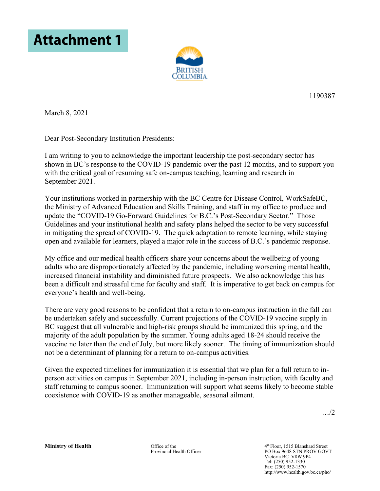



1190387

March 8, 2021

Dear Post-Secondary Institution Presidents:

I am writing to you to acknowledge the important leadership the post-secondary sector has shown in BC's response to the COVID-19 pandemic over the past 12 months, and to support you with the critical goal of resuming safe on-campus teaching, learning and research in September 2021.

Your institutions worked in partnership with the BC Centre for Disease Control, WorkSafeBC, the Ministry of Advanced Education and Skills Training, and staff in my office to produce and update the "COVID-19 Go-Forward Guidelines for B.C.'s Post-Secondary Sector." Those Guidelines and your institutional health and safety plans helped the sector to be very successful in mitigating the spread of COVID-19. The quick adaptation to remote learning, while staying open and available for learners, played a major role in the success of B.C.'s pandemic response.

My office and our medical health officers share your concerns about the wellbeing of young adults who are disproportionately affected by the pandemic, including worsening mental health, increased financial instability and diminished future prospects. We also acknowledge this has been a difficult and stressful time for faculty and staff. It is imperative to get back on campus for everyone's health and well-being.

There are very good reasons to be confident that a return to on-campus instruction in the fall can be undertaken safely and successfully. Current projections of the COVID-19 vaccine supply in BC suggest that all vulnerable and high-risk groups should be immunized this spring, and the majority of the adult population by the summer. Young adults aged 18-24 should receive the vaccine no later than the end of July, but more likely sooner. The timing of immunization should not be a determinant of planning for a return to on-campus activities.

Given the expected timelines for immunization it is essential that we plan for a full return to inperson activities on campus in September 2021, including in-person instruction, with faculty and staff returning to campus sooner. Immunization will support what seems likely to become stable coexistence with COVID-19 as another manageable, seasonal ailment.

…/2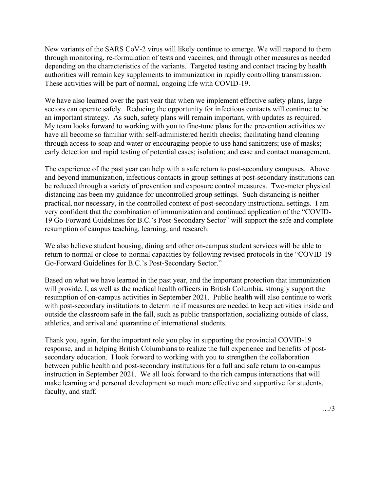New variants of the SARS CoV-2 virus will likely continue to emerge. We will respond to them through monitoring, re-formulation of tests and vaccines, and through other measures as needed depending on the characteristics of the variants. Targeted testing and contact tracing by health authorities will remain key supplements to immunization in rapidly controlling transmission. These activities will be part of normal, ongoing life with COVID-19.

We have also learned over the past year that when we implement effective safety plans, large sectors can operate safely. Reducing the opportunity for infectious contacts will continue to be an important strategy. As such, safety plans will remain important, with updates as required. My team looks forward to working with you to fine-tune plans for the prevention activities we have all become so familiar with: self-administered health checks; facilitating hand cleaning through access to soap and water or encouraging people to use hand sanitizers; use of masks; early detection and rapid testing of potential cases; isolation; and case and contact management.

The experience of the past year can help with a safe return to post-secondary campuses. Above and beyond immunization, infectious contacts in group settings at post-secondary institutions can be reduced through a variety of prevention and exposure control measures. Two-meter physical distancing has been my guidance for uncontrolled group settings. Such distancing is neither practical, nor necessary, in the controlled context of post-secondary instructional settings. I am very confident that the combination of immunization and continued application of the "COVID-19 Go-Forward Guidelines for B.C.'s Post-Secondary Sector" will support the safe and complete resumption of campus teaching, learning, and research.

We also believe student housing, dining and other on-campus student services will be able to return to normal or close-to-normal capacities by following revised protocols in the "COVID-19 Go-Forward Guidelines for B.C.'s Post-Secondary Sector."

Based on what we have learned in the past year, and the important protection that immunization will provide, I, as well as the medical health officers in British Columbia, strongly support the resumption of on-campus activities in September 2021. Public health will also continue to work with post-secondary institutions to determine if measures are needed to keep activities inside and outside the classroom safe in the fall, such as public transportation, socializing outside of class, athletics, and arrival and quarantine of international students.

Thank you, again, for the important role you play in supporting the provincial COVID-19 response, and in helping British Columbians to realize the full experience and benefits of postsecondary education. I look forward to working with you to strengthen the collaboration between public health and post-secondary institutions for a full and safe return to on-campus instruction in September 2021. We all look forward to the rich campus interactions that will make learning and personal development so much more effective and supportive for students, faculty, and staff.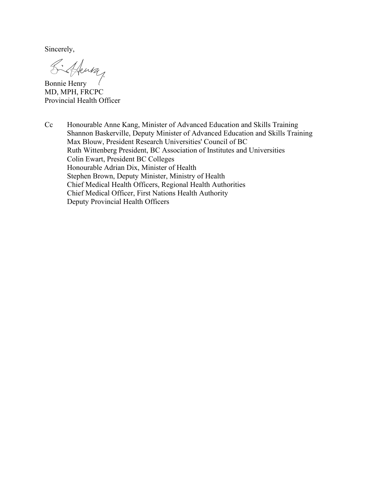Sincerely,

 $B$ onnie Henry

MD, MPH, FRCPC Provincial Health Officer

Cc Honourable Anne Kang, Minister of Advanced Education and Skills Training Shannon Baskerville, Deputy Minister of Advanced Education and Skills Training Max Blouw, President Research Universities' Council of BC Ruth Wittenberg President, BC Association of Institutes and Universities Colin Ewart, President BC Colleges Honourable Adrian Dix, Minister of Health Stephen Brown, Deputy Minister, Ministry of Health Chief Medical Health Officers, Regional Health Authorities Chief Medical Officer, First Nations Health Authority Deputy Provincial Health Officers